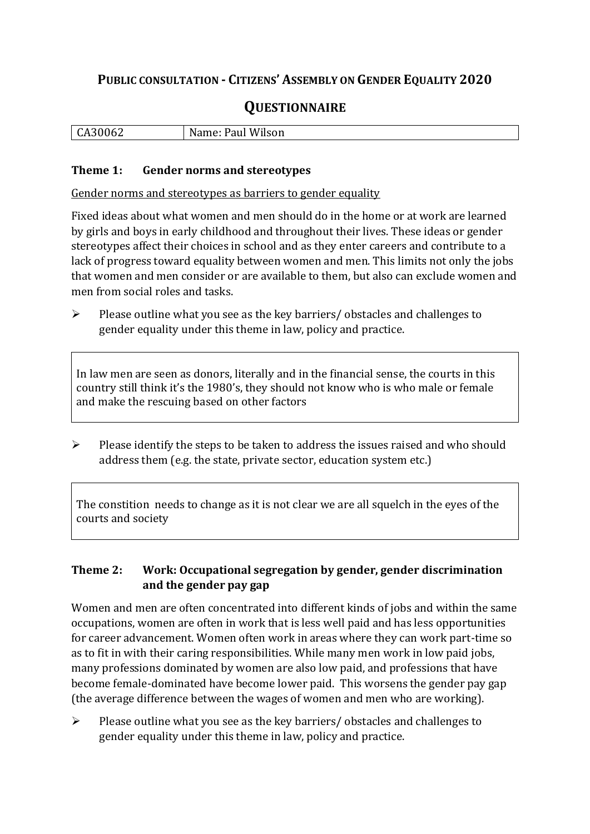# **PUBLIC CONSULTATION - CITIZENS' ASSEMBLY ON GENDER EQUALITY 2020**

# **QUESTIONNAIRE**

| 'ilson<br>1 I I<br>UΔ<br>◡<br>_____<br>$\sim$ $\sim$<br>_____ |
|---------------------------------------------------------------|
|---------------------------------------------------------------|

#### **Theme 1: Gender norms and stereotypes**

Gender norms and stereotypes as barriers to gender equality

Fixed ideas about what women and men should do in the home or at work are learned by girls and boys in early childhood and throughout their lives. These ideas or gender stereotypes affect their choices in school and as they enter careers and contribute to a lack of progress toward equality between women and men. This limits not only the jobs that women and men consider or are available to them, but also can exclude women and men from social roles and tasks.

➢ Please outline what you see as the key barriers/ obstacles and challenges to gender equality under this theme in law, policy and practice.

In law men are seen as donors, literally and in the financial sense, the courts in this country still think it's the 1980's, they should not know who is who male or female and make the rescuing based on other factors

➢ Please identify the steps to be taken to address the issues raised and who should address them (e.g. the state, private sector, education system etc.)

The constition needs to change as it is not clear we are all squelch in the eyes of the courts and society

### **Theme 2: Work: Occupational segregation by gender, gender discrimination and the gender pay gap**

Women and men are often concentrated into different kinds of jobs and within the same occupations, women are often in work that is less well paid and has less opportunities for career advancement. Women often work in areas where they can work part-time so as to fit in with their caring responsibilities. While many men work in low paid jobs, many professions dominated by women are also low paid, and professions that have become female-dominated have become lower paid. This worsens the gender pay gap (the average difference between the wages of women and men who are working).

 $\triangleright$  Please outline what you see as the key barriers/ obstacles and challenges to gender equality under this theme in law, policy and practice.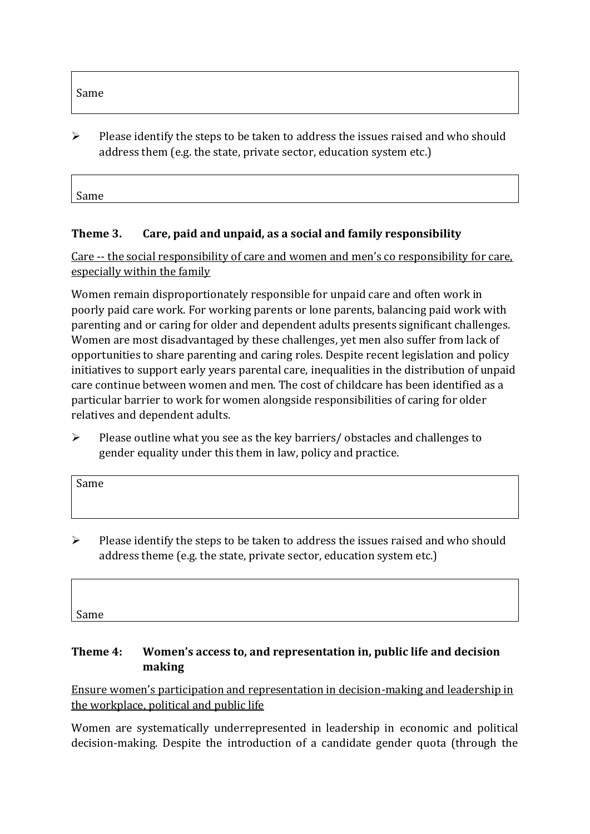$\triangleright$  Please identify the steps to be taken to address the issues raised and who should address them (e.g. the state, private sector, education system etc.)

Same

### **Theme 3. Care, paid and unpaid, as a social and family responsibility**

Care -- the social responsibility of care and women and men's co responsibility for care, especially within the family

Women remain disproportionately responsible for unpaid care and often work in poorly paid care work. For working parents or [lone parents,](https://aran.library.nuigalway.ie/bitstream/handle/10379/6044/Millar_and_Crosse_Activation_Report.pdf?sequence=1&isAllowed=y) balancing paid work with parenting and or caring for older and dependent adults presents significant challenges. Women are [most disadvantaged by these challenges,](https://eige.europa.eu/gender-equality-index/game/IE/W) yet men also suffer from lack of opportunities to share parenting and caring roles. Despite recent legislation and policy initiatives to support early years parental care, [inequalities in the distribution of unpaid](https://www.ihrec.ie/app/uploads/2019/07/Caring-and-Unpaid-Work-in-Ireland_Final.pdf)  [care](https://www.ihrec.ie/app/uploads/2019/07/Caring-and-Unpaid-Work-in-Ireland_Final.pdf) continue between women and men. The cost of childcare has been identified as a particular barrier to work for women alongside responsibilities of caring for older relatives and dependent adults.

➢ Please outline what you see as the key barriers/ obstacles and challenges to gender equality under this them in law, policy and practice.

| Same |  |  |  |
|------|--|--|--|
|      |  |  |  |
|      |  |  |  |

 $\triangleright$  Please identify the steps to be taken to address the issues raised and who should address theme (e.g. the state, private sector, education system etc.)

Same

## **Theme 4: Women's access to, and representation in, public life and decision making**

Ensure women's participation and representation in decision-making and leadership in the workplace, political and public life

Women are systematically underrepresented in leadership in [economic](https://eige.europa.eu/gender-equality-index/2019/compare-countries/power/2/bar) and [political](https://eige.europa.eu/gender-equality-index/2019/compare-countries/power/1/bar)  [decision-](https://eige.europa.eu/gender-equality-index/2019/compare-countries/power/1/bar)making. Despite the introduction of a candidate gender quota (through the

Same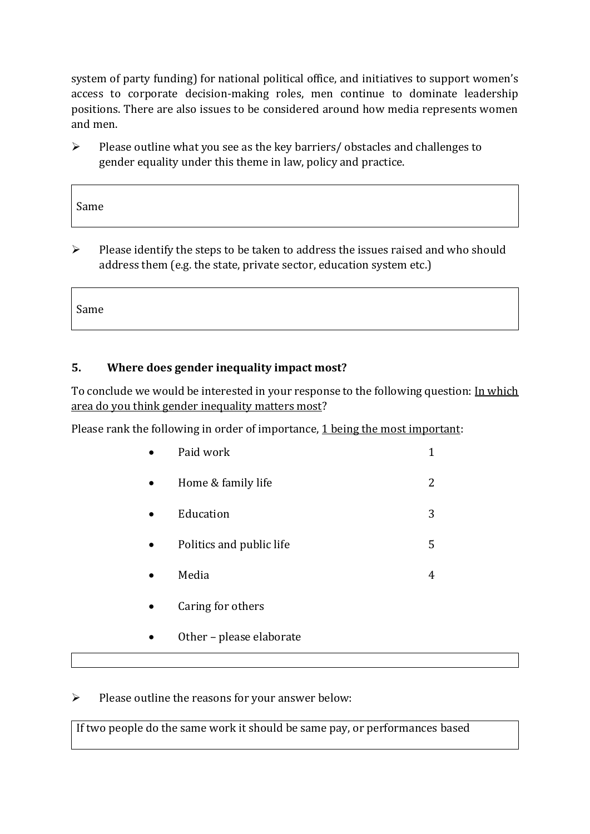system of party funding) for national political office, and [initiatives](https://betterbalance.ie/) to support women's access to corporate decision-making roles, men continue to dominate leadership positions. There are also issues to be considered around how media represents women and men.

➢ Please outline what you see as the key barriers/ obstacles and challenges to gender equality under this theme in law, policy and practice.

| Same |  |  |  |
|------|--|--|--|
|      |  |  |  |

➢ Please identify the steps to be taken to address the issues raised and who should address them (e.g. the state, private sector, education system etc.)

Same

 $\overline{\Gamma}$ 

## **5. Where does gender inequality impact most?**

To conclude we would be interested in your response to the following question: In which area do you think gender inequality matters most?

Please rank the following in order of importance, 1 being the most important:

| Paid work                |   |
|--------------------------|---|
| Home & family life       |   |
| Education                | 3 |
| Politics and public life | 5 |
| Media                    |   |

- Caring for others
- Other please elaborate

➢ Please outline the reasons for your answer below:

If two people do the same work it should be same pay, or performances based